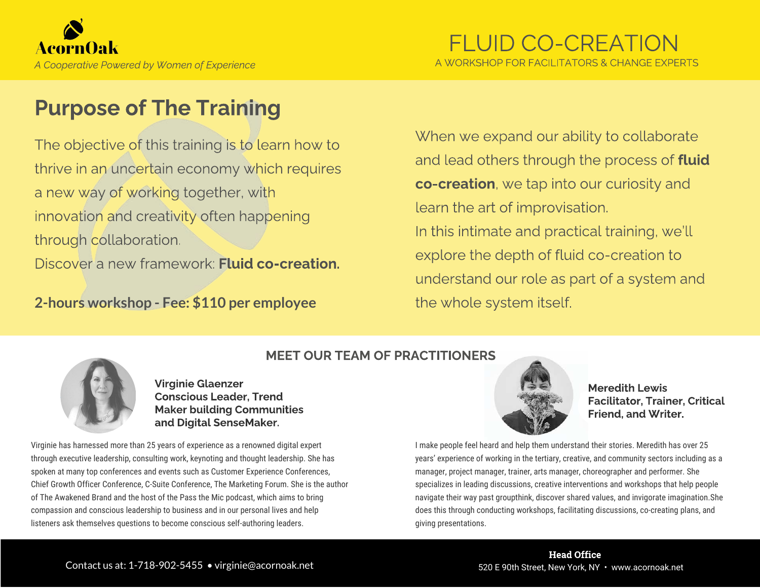

# Purpose of The Training

The objective of this training is to learn how to<br>thrive in an uncertain economy which requires a new way of working together, with a new way of working together, with innovation and creativity often happening through collaboration.

Discover a new framework: Fluid co-creation.

## **2-hours workshop - Fee: \$110 per employee** the whole system itself.

When we expand our ability to collaborate and lead others through the process of fluid co-creation, we tap into our curiosity and<br>learn the art of improvisation. In this intimate and practical training, we'll explore the depth of fluid co-creation to explore the depth of fluid co-creation to understand our role as part of a system and

Virginie Glaenzer Conscious Leader, Trend Maker building Communities and Digital SenseMaker.

Virginie has harnessed more than 25 years of experience as a renowned digital expert through executive leadership, consulting work, keynoting and thought leadership. She has spoken at many top conferences and events such as Customer Experience Conferences, Chief Growth Officer Conference, C-Suite Conference, The Marketing Forum. She is the author of The Awakened Brand and the host of the Pass the Mic podcast, which aims to bring compassion and conscious leadership to business and in our personal lives and help listeners ask themselves questions to become conscious self-authoring leaders.



Meredith Lewis Facilitator, Trainer, Critical Friend, and Writer.

I make people feel heard and help them understand their stories. Meredith has over 25 years' experience of working in the tertiary, creative, and community sectors including as a manager, project manager, trainer, arts manager, choreographer and performer. She specializes in leading discussions, creative interventions and workshops that help people navigate their way past groupthink, discover shared values, and invigorate imagination.She does this through conducting workshops, facilitating discussions, co-creating plans, and giving presentations.